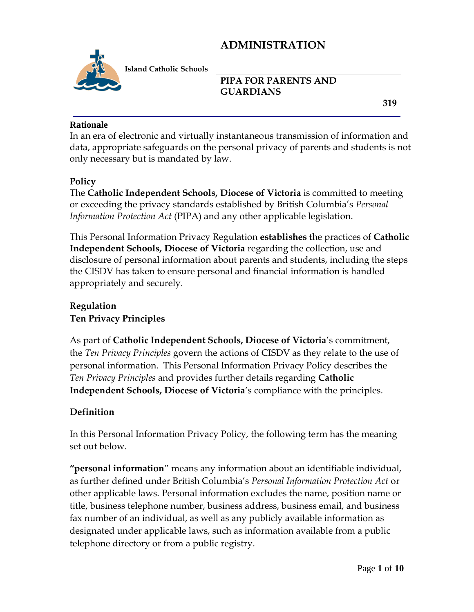

**Island Catholic Schools** 

## **PIPA FOR PARENTS AND GUARDIANS**

 **319**

#### **Rationale**

In an era of electronic and virtually instantaneous transmission of information and data, appropriate safeguards on the personal privacy of parents and students is not only necessary but is mandated by law.

#### **Policy**

The **Catholic Independent Schools, Diocese of Victoria** is committed to meeting or exceeding the privacy standards established by British Columbia's *Personal Information Protection Act* (PIPA) and any other applicable legislation.

This Personal Information Privacy Regulation **establishes** the practices of **Catholic Independent Schools, Diocese of Victoria** regarding the collection, use and disclosure of personal information about parents and students, including the steps the CISDV has taken to ensure personal and financial information is handled appropriately and securely.

## **Regulation Ten Privacy Principles**

As part of **Catholic Independent Schools, Diocese of Victoria**'s commitment, the *Ten Privacy Principles* govern the actions of CISDV as they relate to the use of personal information. This Personal Information Privacy Policy describes the *Ten Privacy Principles* and provides further details regarding **Catholic Independent Schools, Diocese of Victoria**'s compliance with the principles.

## **Definition**

In this Personal Information Privacy Policy, the following term has the meaning set out below.

**"personal information**" means any information about an identifiable individual, as further defined under British Columbia's *Personal Information Protection Act* or other applicable laws. Personal information excludes the name, position name or title, business telephone number, business address, business email, and business fax number of an individual, as well as any publicly available information as designated under applicable laws, such as information available from a public telephone directory or from a public registry.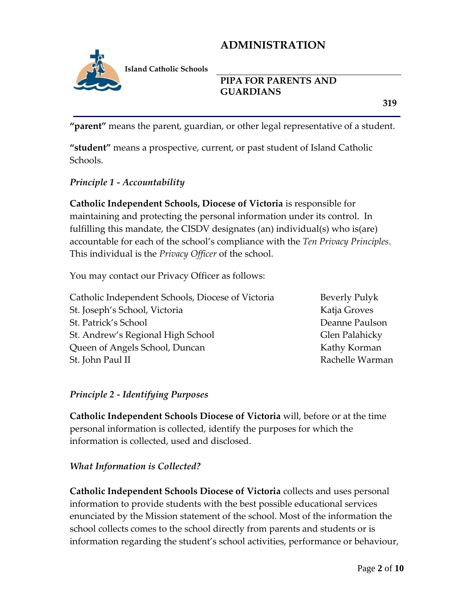

**Island Catholic Schools** 

#### **PIPA FOR PARENTS AND GUARDIANS**

 **319**

**"parent"** means the parent, guardian, or other legal representative of a student.

**"student"** means a prospective, current, or past student of Island Catholic Schools.

#### *Principle 1 - Accountability*

**Catholic Independent Schools, Diocese of Victoria** is responsible for maintaining and protecting the personal information under its control. In fulfilling this mandate, the CISDV designates (an) individual(s) who is(are) accountable for each of the school's compliance with the *Ten Privacy Principles*. This individual is the *Privacy Officer* of the school.

You may contact our Privacy Officer as follows:

| Catholic Independent Schools, Diocese of Victoria |
|---------------------------------------------------|
| St. Joseph's School, Victoria                     |
| St. Patrick's School                              |
| St. Andrew's Regional High School                 |
| Queen of Angels School, Duncan                    |
| St. John Paul II                                  |

Beverly Pulyk Katja Groves Deanne Paulson Glen Palahicky Kathy Korman Rachelle Warman

#### *Principle 2 - Identifying Purposes*

**Catholic Independent Schools Diocese of Victoria** will, before or at the time personal information is collected, identify the purposes for which the information is collected, used and disclosed.

#### *What Information is Collected?*

**Catholic Independent Schools Diocese of Victoria** collects and uses personal information to provide students with the best possible educational services enunciated by the Mission statement of the school. Most of the information the school collects comes to the school directly from parents and students or is information regarding the student's school activities, performance or behaviour,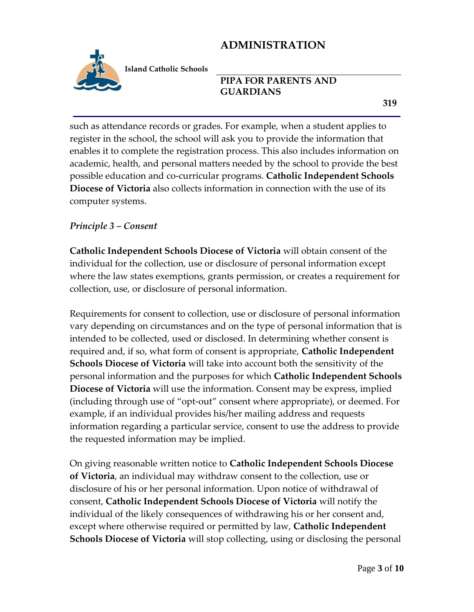

**Island Catholic Schools** 

#### **PIPA FOR PARENTS AND GUARDIANS**

such as attendance records or grades. For example, when a student applies to register in the school, the school will ask you to provide the information that enables it to complete the registration process. This also includes information on academic, health, and personal matters needed by the school to provide the best possible education and co-curricular programs. **Catholic Independent Schools Diocese of Victoria** also collects information in connection with the use of its computer systems.

#### *Principle 3 – Consent*

**Catholic Independent Schools Diocese of Victoria** will obtain consent of the individual for the collection, use or disclosure of personal information except where the law states exemptions, grants permission, or creates a requirement for collection, use, or disclosure of personal information.

Requirements for consent to collection, use or disclosure of personal information vary depending on circumstances and on the type of personal information that is intended to be collected, used or disclosed. In determining whether consent is required and, if so, what form of consent is appropriate, **Catholic Independent Schools Diocese of Victoria** will take into account both the sensitivity of the personal information and the purposes for which **Catholic Independent Schools Diocese of Victoria** will use the information. Consent may be express, implied (including through use of "opt-out" consent where appropriate), or deemed. For example, if an individual provides his/her mailing address and requests information regarding a particular service, consent to use the address to provide the requested information may be implied.

On giving reasonable written notice to **Catholic Independent Schools Diocese of Victoria**, an individual may withdraw consent to the collection, use or disclosure of his or her personal information. Upon notice of withdrawal of consent, **Catholic Independent Schools Diocese of Victoria** will notify the individual of the likely consequences of withdrawing his or her consent and, except where otherwise required or permitted by law, **Catholic Independent Schools Diocese of Victoria** will stop collecting, using or disclosing the personal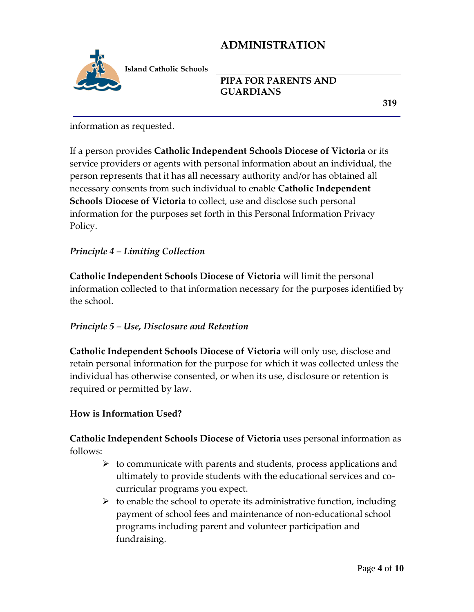

**PIPA FOR PARENTS AND GUARDIANS** 

 **319**

information as requested.

If a person provides **Catholic Independent Schools Diocese of Victoria** or its service providers or agents with personal information about an individual, the person represents that it has all necessary authority and/or has obtained all necessary consents from such individual to enable **Catholic Independent Schools Diocese of Victoria** to collect, use and disclose such personal information for the purposes set forth in this Personal Information Privacy Policy.

### *Principle 4 – Limiting Collection*

**Catholic Independent Schools Diocese of Victoria** will limit the personal information collected to that information necessary for the purposes identified by the school.

#### *Principle 5 – Use, Disclosure and Retention*

**Catholic Independent Schools Diocese of Victoria** will only use, disclose and retain personal information for the purpose for which it was collected unless the individual has otherwise consented, or when its use, disclosure or retention is required or permitted by law.

## **How is Information Used?**

**Catholic Independent Schools Diocese of Victoria** uses personal information as follows:

- $\triangleright$  to communicate with parents and students, process applications and ultimately to provide students with the educational services and cocurricular programs you expect.
- $\triangleright$  to enable the school to operate its administrative function, including payment of school fees and maintenance of non-educational school programs including parent and volunteer participation and fundraising.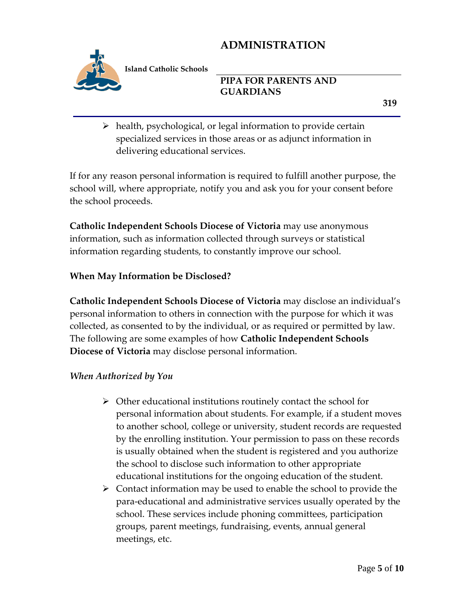

**Island Catholic Schools** 

### **PIPA FOR PARENTS AND GUARDIANS**

 $\triangleright$  health, psychological, or legal information to provide certain specialized services in those areas or as adjunct information in delivering educational services.

If for any reason personal information is required to fulfill another purpose, the school will, where appropriate, notify you and ask you for your consent before the school proceeds.

**Catholic Independent Schools Diocese of Victoria** may use anonymous information, such as information collected through surveys or statistical information regarding students, to constantly improve our school.

### **When May Information be Disclosed?**

**Catholic Independent Schools Diocese of Victoria** may disclose an individual's personal information to others in connection with the purpose for which it was collected, as consented to by the individual, or as required or permitted by law. The following are some examples of how **Catholic Independent Schools Diocese of Victoria** may disclose personal information.

#### *When Authorized by You*

- $\triangleright$  Other educational institutions routinely contact the school for personal information about students. For example, if a student moves to another school, college or university, student records are requested by the enrolling institution. Your permission to pass on these records is usually obtained when the student is registered and you authorize the school to disclose such information to other appropriate educational institutions for the ongoing education of the student.
- $\triangleright$  Contact information may be used to enable the school to provide the para-educational and administrative services usually operated by the school. These services include phoning committees, participation groups, parent meetings, fundraising, events, annual general meetings, etc.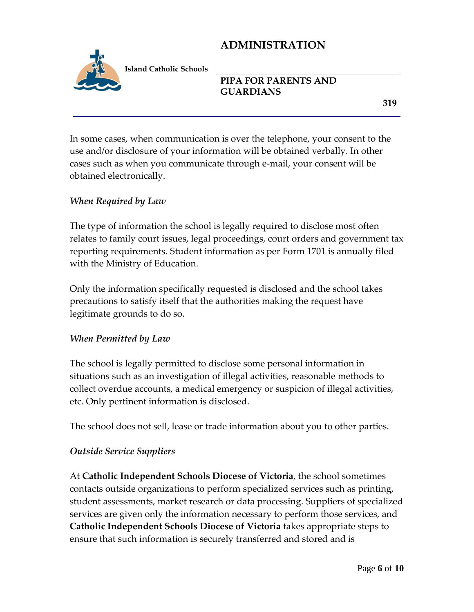

**Island Catholic Schools** 

## **PIPA FOR PARENTS AND GUARDIANS**

 **319**

In some cases, when communication is over the telephone, your consent to the use and/or disclosure of your information will be obtained verbally. In other cases such as when you communicate through e-mail, your consent will be obtained electronically.

### *When Required by Law*

The type of information the school is legally required to disclose most often relates to family court issues, legal proceedings, court orders and government tax reporting requirements. Student information as per Form 1701 is annually filed with the Ministry of Education.

Only the information specifically requested is disclosed and the school takes precautions to satisfy itself that the authorities making the request have legitimate grounds to do so.

#### *When Permitted by Law*

The school is legally permitted to disclose some personal information in situations such as an investigation of illegal activities, reasonable methods to collect overdue accounts, a medical emergency or suspicion of illegal activities, etc. Only pertinent information is disclosed.

The school does not sell, lease or trade information about you to other parties.

#### *Outside Service Suppliers*

At **Catholic Independent Schools Diocese of Victoria**, the school sometimes contacts outside organizations to perform specialized services such as printing, student assessments, market research or data processing. Suppliers of specialized services are given only the information necessary to perform those services, and **Catholic Independent Schools Diocese of Victoria** takes appropriate steps to ensure that such information is securely transferred and stored and is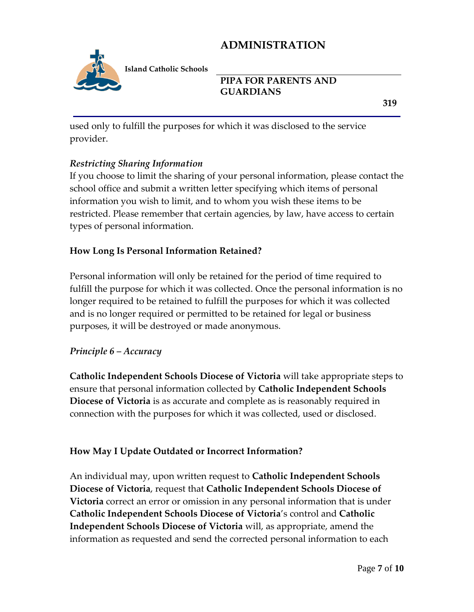

**PIPA FOR PARENTS AND GUARDIANS** 

 **319**

used only to fulfill the purposes for which it was disclosed to the service provider.

### *Restricting Sharing Information*

If you choose to limit the sharing of your personal information, please contact the school office and submit a written letter specifying which items of personal information you wish to limit, and to whom you wish these items to be restricted. Please remember that certain agencies, by law, have access to certain types of personal information.

### **How Long Is Personal Information Retained?**

Personal information will only be retained for the period of time required to fulfill the purpose for which it was collected. Once the personal information is no longer required to be retained to fulfill the purposes for which it was collected and is no longer required or permitted to be retained for legal or business purposes, it will be destroyed or made anonymous.

#### *Principle 6 – Accuracy*

**Catholic Independent Schools Diocese of Victoria** will take appropriate steps to ensure that personal information collected by **Catholic Independent Schools Diocese of Victoria** is as accurate and complete as is reasonably required in connection with the purposes for which it was collected, used or disclosed.

## **How May I Update Outdated or Incorrect Information?**

An individual may, upon written request to **Catholic Independent Schools Diocese of Victoria**, request that **Catholic Independent Schools Diocese of Victoria** correct an error or omission in any personal information that is under **Catholic Independent Schools Diocese of Victoria**'s control and **Catholic Independent Schools Diocese of Victoria** will, as appropriate, amend the information as requested and send the corrected personal information to each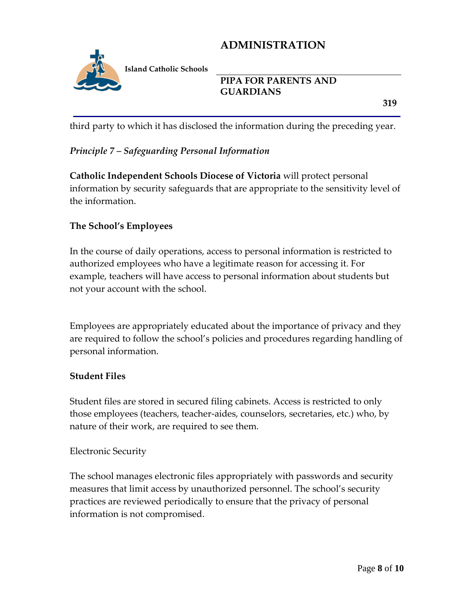

### **PIPA FOR PARENTS AND GUARDIANS**

 **319**

third party to which it has disclosed the information during the preceding year.

## *Principle 7 – Safeguarding Personal Information*

**Catholic Independent Schools Diocese of Victoria** will protect personal information by security safeguards that are appropriate to the sensitivity level of the information.

## **The School's Employees**

In the course of daily operations, access to personal information is restricted to authorized employees who have a legitimate reason for accessing it. For example, teachers will have access to personal information about students but not your account with the school.

Employees are appropriately educated about the importance of privacy and they are required to follow the school's policies and procedures regarding handling of personal information.

#### **Student Files**

Student files are stored in secured filing cabinets. Access is restricted to only those employees (teachers, teacher-aides, counselors, secretaries, etc.) who, by nature of their work, are required to see them.

#### Electronic Security

The school manages electronic files appropriately with passwords and security measures that limit access by unauthorized personnel. The school's security practices are reviewed periodically to ensure that the privacy of personal information is not compromised.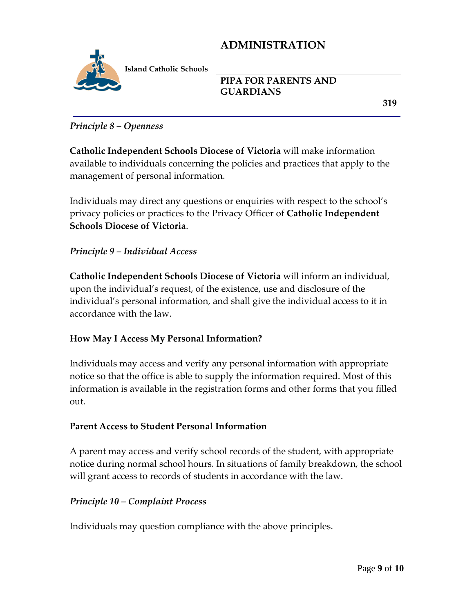

**PIPA FOR PARENTS AND GUARDIANS** 

 **319**

#### *Principle 8 – Openness*

**Catholic Independent Schools Diocese of Victoria** will make information available to individuals concerning the policies and practices that apply to the management of personal information.

Individuals may direct any questions or enquiries with respect to the school's privacy policies or practices to the Privacy Officer of **Catholic Independent Schools Diocese of Victoria**.

#### *Principle 9 – Individual Access*

**Catholic Independent Schools Diocese of Victoria** will inform an individual, upon the individual's request, of the existence, use and disclosure of the individual's personal information, and shall give the individual access to it in accordance with the law.

#### **How May I Access My Personal Information?**

Individuals may access and verify any personal information with appropriate notice so that the office is able to supply the information required. Most of this information is available in the registration forms and other forms that you filled out.

#### **Parent Access to Student Personal Information**

A parent may access and verify school records of the student, with appropriate notice during normal school hours. In situations of family breakdown, the school will grant access to records of students in accordance with the law.

#### *Principle 10 – Complaint Process*

Individuals may question compliance with the above principles.